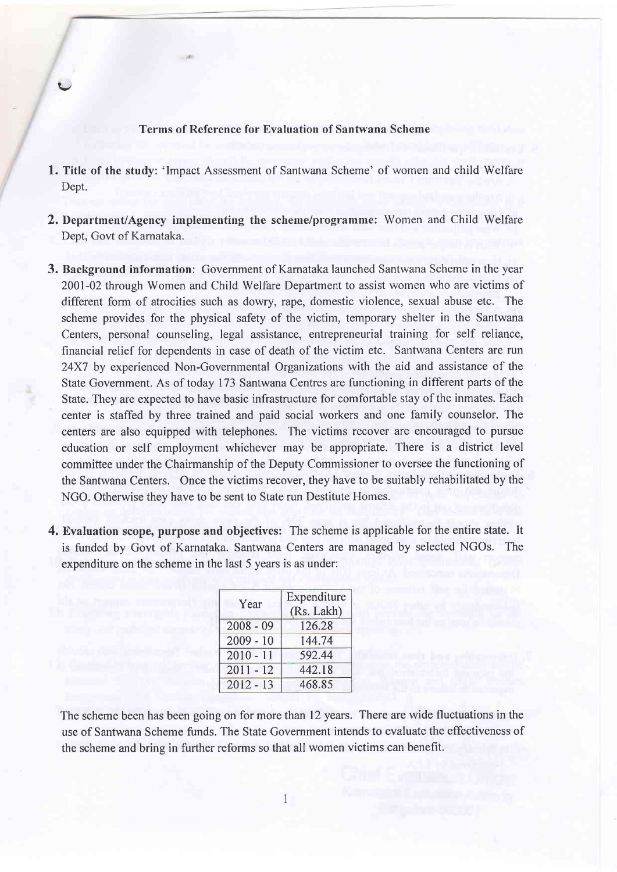## Terms of Reference for Evaluation of Santwana Scheme

 $\blacktriangleright$ 

- 1. Title of the study: 'Impact Assessment of Santwana Scheme' of women and child Welfare Dept.
- 2. Department/Agency implementing the scheme/programme: Women and Child Welfare Dept, Govt of Karnataka.
- 3. Background information: Government of Karnataka launched Santwana Scheme in the year 2001-02 through Women and Child Welfare Department to assist women who are victims of different form of atrocities such as dowry, rape, domestic violence, sexual abuse etc. The scheme provides for the physical safety of the victim, temporary shelter in the Santwana Centers, personal counseling, legal assistance, entrepreneurial training for self reliance, financial relief for dependents in case of death of the victim etc. Santwana Centers are run 24X7 by experienced Non-Governmental Organizations with the aid and assistance of the State Government. As of today 173 Santwana Centres are functioning in different parts of the State. They are expected to have basic infrastructure for comfortable stay of the inmates. Each center is staffed by three trained and paid social workers and one family counselor. The centers are also equipped with telephones. The victims recover are encouraged to pursue education or self employment whichever may be appropriate. There is a district level committee under the Chairmanship of the Deputy Commissioner to oversee the functioning of the Santwana Centers. Once the victims recover, they have to be suitably rehabilitated by the NGO. Otherwise thev have to be sent to State run Destitute Homes.
- 4. Evaluation scope, purpose and objectives: The scheme is applicable for the entire state. It is funded by Govt of Karnataka. Santwana Centers are managed by selected NGOs. The expenditure on the scheme in the last 5 years is as under:

| Year        | Expenditure<br>(Rs. Lakh) |
|-------------|---------------------------|
| $2008 - 09$ | 126.28                    |
| $2009 - 10$ | 144.74                    |
| $2010 - 11$ | 592.44                    |
| $2011 - 12$ | 442.18                    |
| $2012 - 13$ | 468.85                    |

The scheme been has been going on for more than 12 years. There are wide fluctuations in the use of Santwana Scheme funds. The State Government intends to evaluate the effectiveness of the scheme and bring in further reforms so that all women victims can benefit.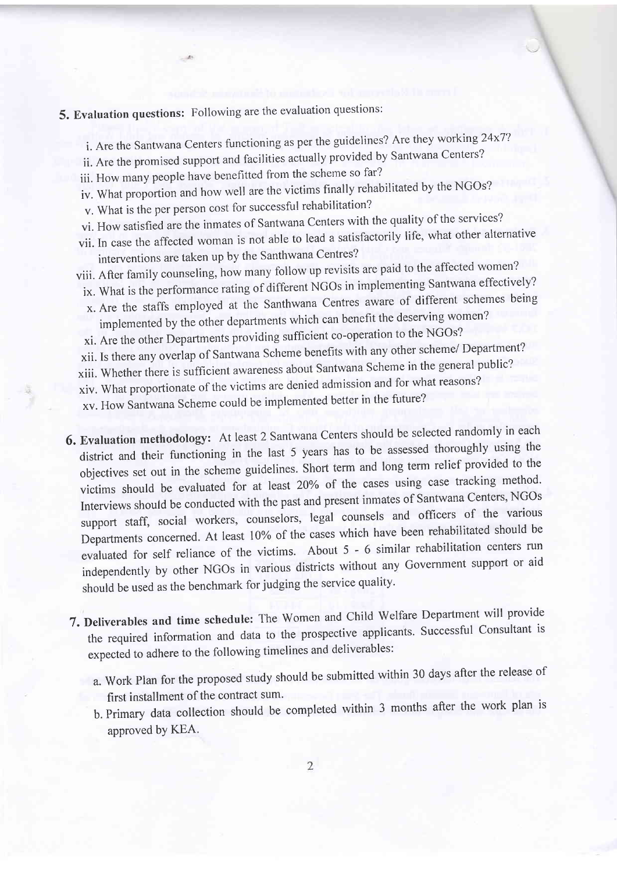## 5. Evaluation questions: Following are the evaluation questions:

- i. Are the Santwana Centers functioning as per the guidelines? Are they working 24x7?
- ii. Are the promised support and facilities actually provided by Santwana Centers?
- iii, How many people have benefitted from the scheme so far?
- iv. What proportion and how well are the victims finally rehabilitated by the NGOs?
- v. What is the per person cost for successful rehabilitation?
- vi. How satisfied are the inmates of Santwana centers with the quality of the services?
- vii. In case the affected woman is not able to lead a satisfactorily life, what other alternative interventions are taken up by the Santhwana Centres?
- viii. After family counseling, how many follow up revisits are paid to the affected women?
- ix. What is the performance rating of different NGOs in implementing Santwana effectively?
- x. Are the staffs employed at the Santhwana Centres aware of different schemes being implemented by the other departments which can benefit the deserving women?
- xi. Are the other Departments providing sufficient co-operation to the NGOs?
- xii. Is there any overlap of Santwana Scheme benefits with any other scheme/ Department?
- xiii. whether there is sufficient awareness about Santwana Scheme in the general public?
- xiv. what proportionate of the victims are denied admission and for what reasons?

xv. How Santwana Scheme could be implemented better in the future?

- 6. Evaluation methodology: At least 2 Santwana Centers should be selected randomly in each district and their functioning in the last 5 years has to be assessed thoroughly using the objectives set out in the scheme guidelines. short term and long term relief provided to the victims should be evaluated for at least 20% of the cases using case tracking method. Interviews should be conducted with the past and present inmates of Santwana Centers, NGOs support staff, social workers, counselors, legal counsels and officers of the various Departments concerned. At least l0% of the cases which have been rehabilitated should be evaluated for self reliance of the victims. About 5 - 6 similar rehabilitation centers run independently by other NGOs in various districts without any Government support or aid should be used as the benchmark for judging the service quality.
- 7. Deliverables and time schedule: The women and child welfare Department will provide the required information and data to the prospective applicants. Successful Consultant is expected to adhere to the following timelines and deliverables:
	- a. Work Plan for the proposed study should be submitted within 30 days after the release of first installment of the contract sum.
	- b. Primary data collection should be completed within 3 months after the work plan is approved by KEA.